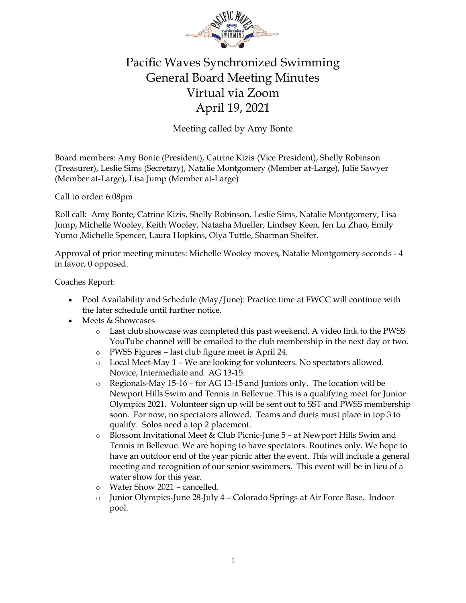

## Pacific Waves Synchronized Swimming General Board Meeting Minutes Virtual via Zoom April 19, 2021

Meeting called by Amy Bonte

Board members: Amy Bonte (President), Catrine Kizis (Vice President), Shelly Robinson (Treasurer), Leslie Sims (Secretary), Natalie Montgomery (Member at-Large), Julie Sawyer (Member at-Large), Lisa Jump (Member at-Large)

Call to order: 6:08pm

Roll call: Amy Bonte, Catrine Kizis, Shelly Robinson, Leslie Sims, Natalie Montgomery, Lisa Jump, Michelle Wooley, Keith Wooley, Natasha Mueller, Lindsey Keen, Jen Lu Zhao, Emily Yumo ,Michelle Spencer, Laura Hopkins, Olya Tuttle, Sharman Shelfer.

Approval of prior meeting minutes: Michelle Wooley moves, Natalie Montgomery seconds - 4 in favor, 0 opposed.

Coaches Report:

- Pool Availability and Schedule (May/June): Practice time at FWCC will continue with the later schedule until further notice.
- Meets & Showcases
	- o Last club showcase was completed this past weekend. A video link to the PWSS YouTube channel will be emailed to the club membership in the next day or two.
	- o PWSS Figures last club figure meet is April 24.
	- o Local Meet-May 1 We are looking for volunteers. No spectators allowed. Novice, Intermediate and AG 13-15.
	- o Regionals-May 15-16 for AG 13-15 and Juniors only. The location will be Newport Hills Swim and Tennis in Bellevue. This is a qualifying meet for Junior Olympics 2021. Volunteer sign up will be sent out to SST and PWSS membership soon. For now, no spectators allowed. Teams and duets must place in top 3 to qualify. Solos need a top 2 placement.
	- o Blossom Invitational Meet & Club Picnic-June 5 at Newport Hills Swim and Tennis in Bellevue. We are hoping to have spectators. Routines only. We hope to have an outdoor end of the year picnic after the event. This will include a general meeting and recognition of our senior swimmers. This event will be in lieu of a water show for this year.
	- o Water Show 2021 cancelled.
	- o Junior Olympics-June 28-July 4 Colorado Springs at Air Force Base. Indoor pool.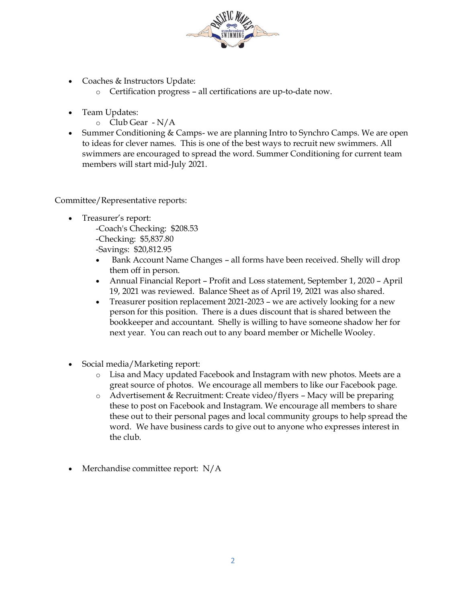

- Coaches & Instructors Update:
	- o Certification progress all certifications are up-to-date now.
- Team Updates:
	- o Club Gear N/A
- Summer Conditioning & Camps- we are planning Intro to Synchro Camps. We are open to ideas for clever names. This is one of the best ways to recruit new swimmers. All swimmers are encouraged to spread the word. Summer Conditioning for current team members will start mid-July 2021.

Committee/Representative reports:

- Treasurer's report: -Coach's Checking: \$208.53 -Checking: \$5,837.80 -Savings: \$20,812.95
	- Bank Account Name Changes all forms have been received. Shelly will drop them off in person.
	- Annual Financial Report Profit and Loss statement, September 1, 2020 April 19, 2021 was reviewed. Balance Sheet as of April 19, 2021 was also shared.
	- Treasurer position replacement 2021-2023 we are actively looking for a new person for this position. There is a dues discount that is shared between the bookkeeper and accountant. Shelly is willing to have someone shadow her for next year. You can reach out to any board member or Michelle Wooley.
- Social media/Marketing report:
	- o Lisa and Macy updated Facebook and Instagram with new photos. Meets are a great source of photos. We encourage all members to like our Facebook page.
	- o Advertisement & Recruitment: Create video/flyers Macy will be preparing these to post on Facebook and Instagram. We encourage all members to share these out to their personal pages and local community groups to help spread the word. We have business cards to give out to anyone who expresses interest in the club.
- Merchandise committee report: N/A